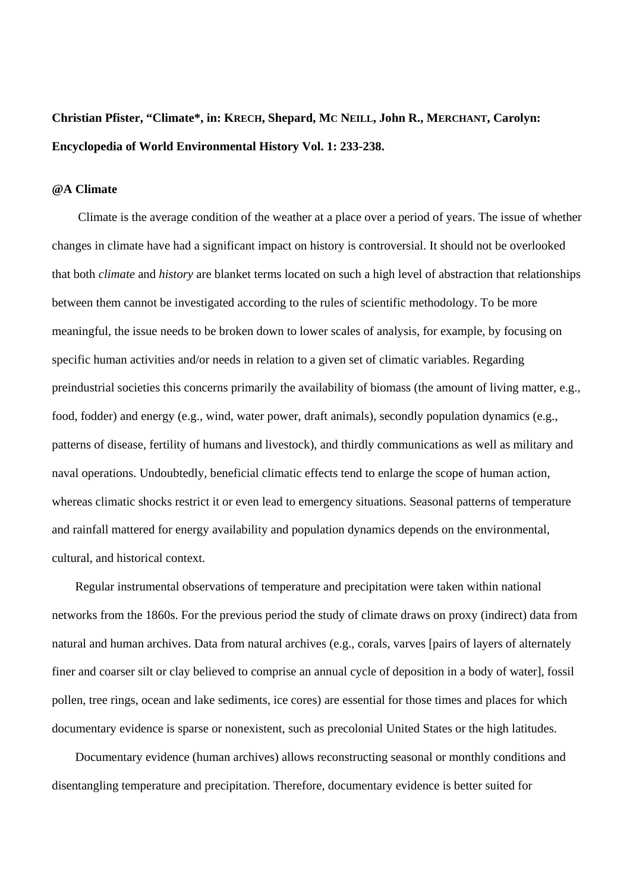# **Christian Pfister, "Climate\*, in: KRECH, Shepard, MC NEILL, John R., MERCHANT, Carolyn: Encyclopedia of World Environmental History Vol. 1: 233-238.**

#### **@A Climate**

Climate is the average condition of the weather at a place over a period of years. The issue of whether changes in climate have had a significant impact on history is controversial. It should not be overlooked that both *climate* and *history* are blanket terms located on such a high level of abstraction that relationships between them cannot be investigated according to the rules of scientific methodology. To be more meaningful, the issue needs to be broken down to lower scales of analysis, for example, by focusing on specific human activities and/or needs in relation to a given set of climatic variables. Regarding preindustrial societies this concerns primarily the availability of biomass (the amount of living matter, e.g., food, fodder) and energy (e.g., wind, water power, draft animals), secondly population dynamics (e.g., patterns of disease, fertility of humans and livestock), and thirdly communications as well as military and naval operations. Undoubtedly, beneficial climatic effects tend to enlarge the scope of human action, whereas climatic shocks restrict it or even lead to emergency situations. Seasonal patterns of temperature and rainfall mattered for energy availability and population dynamics depends on the environmental, cultural, and historical context.

Regular instrumental observations of temperature and precipitation were taken within national networks from the 1860s. For the previous period the study of climate draws on proxy (indirect) data from natural and human archives. Data from natural archives (e.g., corals, varves [pairs of layers of alternately finer and coarser silt or clay believed to comprise an annual cycle of deposition in a body of water], fossil pollen, tree rings, ocean and lake sediments, ice cores) are essential for those times and places for which documentary evidence is sparse or nonexistent, such as precolonial United States or the high latitudes.

Documentary evidence (human archives) allows reconstructing seasonal or monthly conditions and disentangling temperature and precipitation. Therefore, documentary evidence is better suited for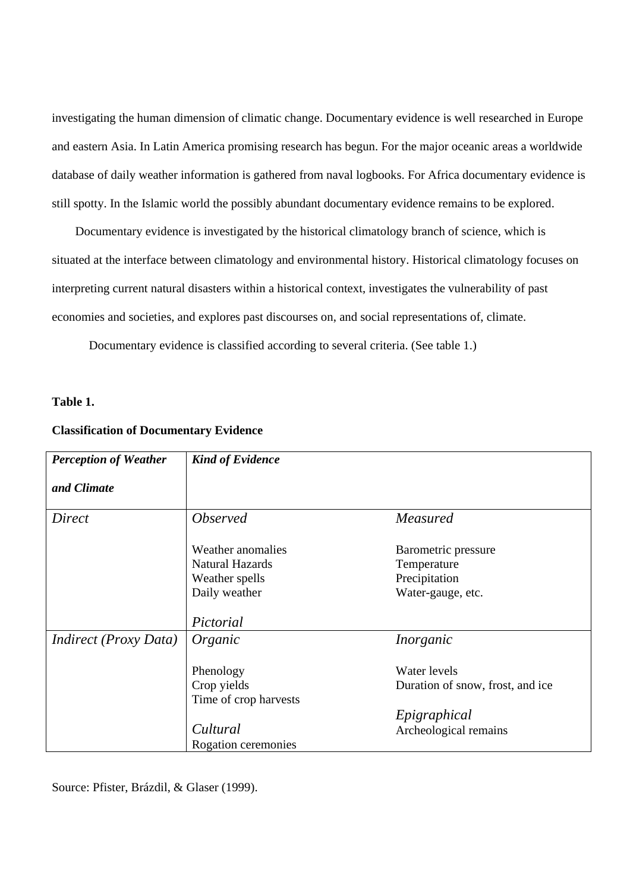investigating the human dimension of climatic change. Documentary evidence is well researched in Europe and eastern Asia. In Latin America promising research has begun. For the major oceanic areas a worldwide database of daily weather information is gathered from naval logbooks. For Africa documentary evidence is still spotty. In the Islamic world the possibly abundant documentary evidence remains to be explored.

Documentary evidence is investigated by the historical climatology branch of science, which is situated at the interface between climatology and environmental history. Historical climatology focuses on interpreting current natural disasters within a historical context, investigates the vulnerability of past economies and societies, and explores past discourses on, and social representations of, climate.

Documentary evidence is classified according to several criteria. (See table 1.)

## **Table 1.**

| <b>Perception of Weather</b> | <b>Kind of Evidence</b> |                                  |
|------------------------------|-------------------------|----------------------------------|
| and Climate                  |                         |                                  |
| Direct                       | <i><b>Observed</b></i>  | <b>Measured</b>                  |
|                              | Weather anomalies       | Barometric pressure              |
|                              | <b>Natural Hazards</b>  | Temperature                      |
|                              | Weather spells          | Precipitation                    |
|                              | Daily weather           | Water-gauge, etc.                |
|                              | Pictorial               |                                  |
| <i>Indirect (Proxy Data)</i> | Organic                 | Inorganic                        |
|                              | Phenology               | Water levels                     |
|                              | Crop yields             | Duration of snow, frost, and ice |
|                              | Time of crop harvests   |                                  |
|                              |                         | Epigraphical                     |
|                              | Cultural                | Archeological remains            |
|                              | Rogation ceremonies     |                                  |

# **Classification of Documentary Evidence**

Source: Pfister, Brázdil, & Glaser (1999).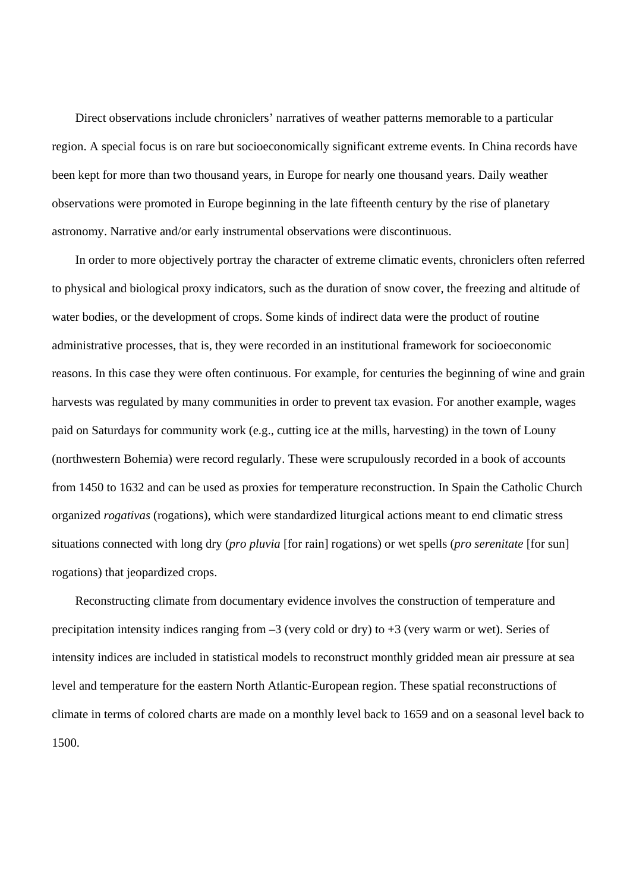Direct observations include chroniclers' narratives of weather patterns memorable to a particular region. A special focus is on rare but socioeconomically significant extreme events. In China records have been kept for more than two thousand years, in Europe for nearly one thousand years. Daily weather observations were promoted in Europe beginning in the late fifteenth century by the rise of planetary astronomy. Narrative and/or early instrumental observations were discontinuous.

In order to more objectively portray the character of extreme climatic events, chroniclers often referred to physical and biological proxy indicators, such as the duration of snow cover, the freezing and altitude of water bodies, or the development of crops. Some kinds of indirect data were the product of routine administrative processes, that is, they were recorded in an institutional framework for socioeconomic reasons. In this case they were often continuous. For example, for centuries the beginning of wine and grain harvests was regulated by many communities in order to prevent tax evasion. For another example, wages paid on Saturdays for community work (e.g., cutting ice at the mills, harvesting) in the town of Louny (northwestern Bohemia) were record regularly. These were scrupulously recorded in a book of accounts from 1450 to 1632 and can be used as proxies for temperature reconstruction. In Spain the Catholic Church organized *rogativas* (rogations), which were standardized liturgical actions meant to end climatic stress situations connected with long dry (*pro pluvia* [for rain] rogations) or wet spells (*pro serenitate* [for sun] rogations) that jeopardized crops.

Reconstructing climate from documentary evidence involves the construction of temperature and precipitation intensity indices ranging from  $-3$  (very cold or dry) to  $+3$  (very warm or wet). Series of intensity indices are included in statistical models to reconstruct monthly gridded mean air pressure at sea level and temperature for the eastern North Atlantic-European region. These spatial reconstructions of climate in terms of colored charts are made on a monthly level back to 1659 and on a seasonal level back to 1500.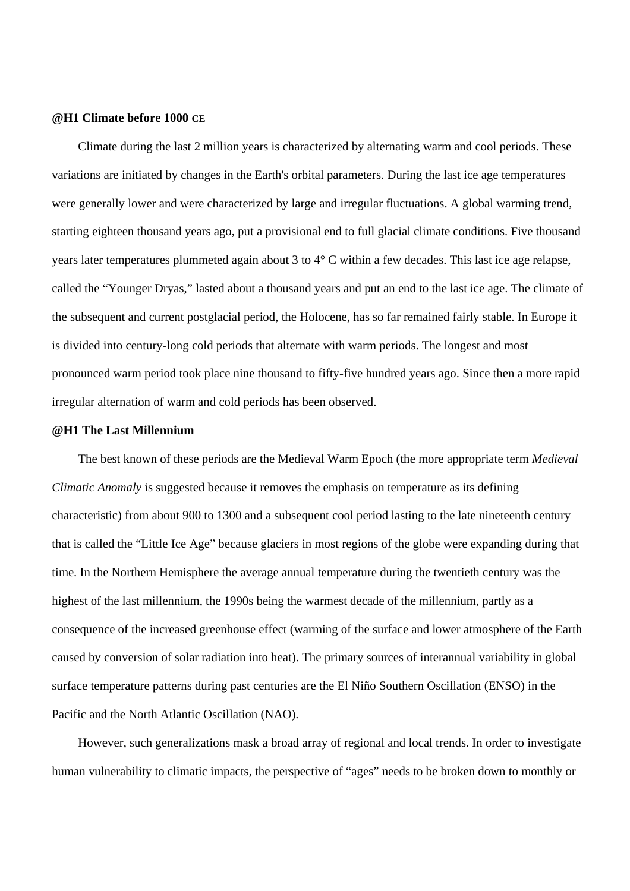#### **@H1 Climate before 1000 CE**

Climate during the last 2 million years is characterized by alternating warm and cool periods. These variations are initiated by changes in the Earth's orbital parameters. During the last ice age temperatures were generally lower and were characterized by large and irregular fluctuations. A global warming trend, starting eighteen thousand years ago, put a provisional end to full glacial climate conditions. Five thousand years later temperatures plummeted again about 3 to 4° C within a few decades. This last ice age relapse, called the "Younger Dryas," lasted about a thousand years and put an end to the last ice age. The climate of the subsequent and current postglacial period, the Holocene, has so far remained fairly stable. In Europe it is divided into century-long cold periods that alternate with warm periods. The longest and most pronounced warm period took place nine thousand to fifty-five hundred years ago. Since then a more rapid irregular alternation of warm and cold periods has been observed.

## **@H1 The Last Millennium**

The best known of these periods are the Medieval Warm Epoch (the more appropriate term *Medieval Climatic Anomaly* is suggested because it removes the emphasis on temperature as its defining characteristic) from about 900 to 1300 and a subsequent cool period lasting to the late nineteenth century that is called the "Little Ice Age" because glaciers in most regions of the globe were expanding during that time. In the Northern Hemisphere the average annual temperature during the twentieth century was the highest of the last millennium, the 1990s being the warmest decade of the millennium, partly as a consequence of the increased greenhouse effect (warming of the surface and lower atmosphere of the Earth caused by conversion of solar radiation into heat). The primary sources of interannual variability in global surface temperature patterns during past centuries are the El Niño Southern Oscillation (ENSO) in the Pacific and the North Atlantic Oscillation (NAO).

However, such generalizations mask a broad array of regional and local trends. In order to investigate human vulnerability to climatic impacts, the perspective of "ages" needs to be broken down to monthly or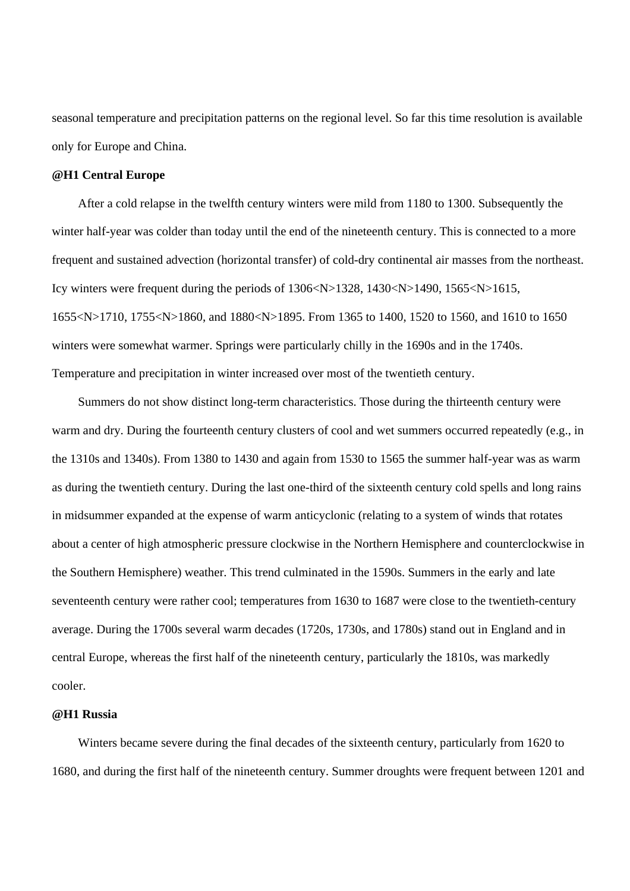seasonal temperature and precipitation patterns on the regional level. So far this time resolution is available only for Europe and China.

## **@H1 Central Europe**

After a cold relapse in the twelfth century winters were mild from 1180 to 1300. Subsequently the winter half-year was colder than today until the end of the nineteenth century. This is connected to a more frequent and sustained advection (horizontal transfer) of cold-dry continental air masses from the northeast. Icy winters were frequent during the periods of  $1306 \times N > 1328$ ,  $1430 \times N > 1490$ ,  $1565 \times N > 1615$ , 1655<N>1710, 1755<N>1860, and 1880<N>1895. From 1365 to 1400, 1520 to 1560, and 1610 to 1650 winters were somewhat warmer. Springs were particularly chilly in the 1690s and in the 1740s. Temperature and precipitation in winter increased over most of the twentieth century.

Summers do not show distinct long-term characteristics. Those during the thirteenth century were warm and dry. During the fourteenth century clusters of cool and wet summers occurred repeatedly (e.g., in the 1310s and 1340s). From 1380 to 1430 and again from 1530 to 1565 the summer half-year was as warm as during the twentieth century. During the last one-third of the sixteenth century cold spells and long rains in midsummer expanded at the expense of warm anticyclonic (relating to a system of winds that rotates about a center of high atmospheric pressure clockwise in the Northern Hemisphere and counterclockwise in the Southern Hemisphere) weather. This trend culminated in the 1590s. Summers in the early and late seventeenth century were rather cool; temperatures from 1630 to 1687 were close to the twentieth-century average. During the 1700s several warm decades (1720s, 1730s, and 1780s) stand out in England and in central Europe, whereas the first half of the nineteenth century, particularly the 1810s, was markedly cooler.

# **@H1 Russia**

Winters became severe during the final decades of the sixteenth century, particularly from 1620 to 1680, and during the first half of the nineteenth century. Summer droughts were frequent between 1201 and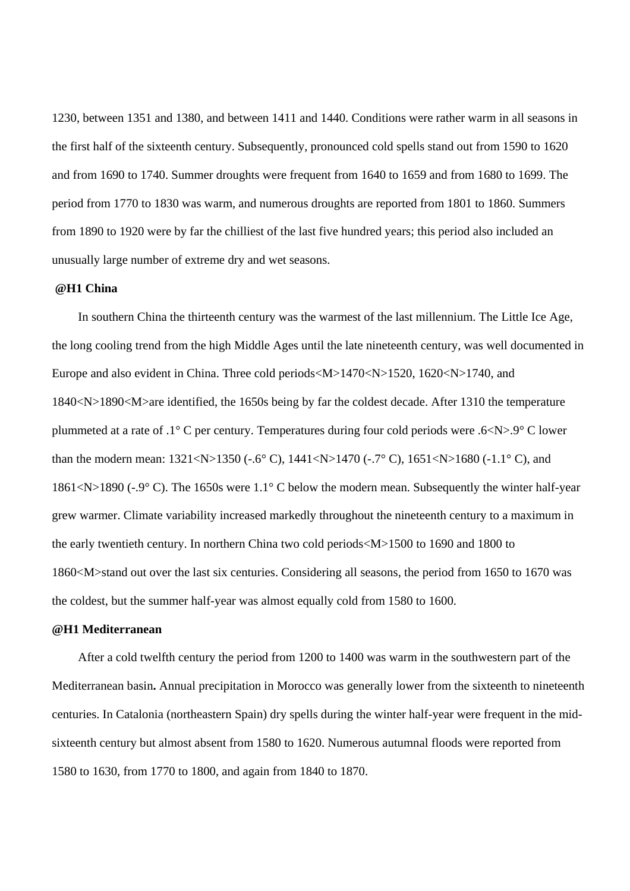1230, between 1351 and 1380, and between 1411 and 1440. Conditions were rather warm in all seasons in the first half of the sixteenth century. Subsequently, pronounced cold spells stand out from 1590 to 1620 and from 1690 to 1740. Summer droughts were frequent from 1640 to 1659 and from 1680 to 1699. The period from 1770 to 1830 was warm, and numerous droughts are reported from 1801 to 1860. Summers from 1890 to 1920 were by far the chilliest of the last five hundred years; this period also included an unusually large number of extreme dry and wet seasons.

#### **@H1 China**

In southern China the thirteenth century was the warmest of the last millennium. The Little Ice Age, the long cooling trend from the high Middle Ages until the late nineteenth century, was well documented in Europe and also evident in China. Three cold periods<M>1470<N>1520, 1620<N>1740, and 1840<N>1890<M>are identified, the 1650s being by far the coldest decade. After 1310 the temperature plummeted at a rate of .1° C per century. Temperatures during four cold periods were .6<N>.9° C lower than the modern mean: 1321<N>1350 (-.6° C), 1441<N>1470 (-.7° C), 1651<N>1680 (-1.1° C), and 1861<N>1890 (-.9° C). The 1650s were 1.1° C below the modern mean. Subsequently the winter half-year grew warmer. Climate variability increased markedly throughout the nineteenth century to a maximum in the early twentieth century. In northern China two cold periods<M>1500 to 1690 and 1800 to 1860<M>stand out over the last six centuries. Considering all seasons, the period from 1650 to 1670 was the coldest, but the summer half-year was almost equally cold from 1580 to 1600.

## **@H1 Mediterranean**

After a cold twelfth century the period from 1200 to 1400 was warm in the southwestern part of the Mediterranean basin**.** Annual precipitation in Morocco was generally lower from the sixteenth to nineteenth centuries. In Catalonia (northeastern Spain) dry spells during the winter half-year were frequent in the midsixteenth century but almost absent from 1580 to 1620. Numerous autumnal floods were reported from 1580 to 1630, from 1770 to 1800, and again from 1840 to 1870.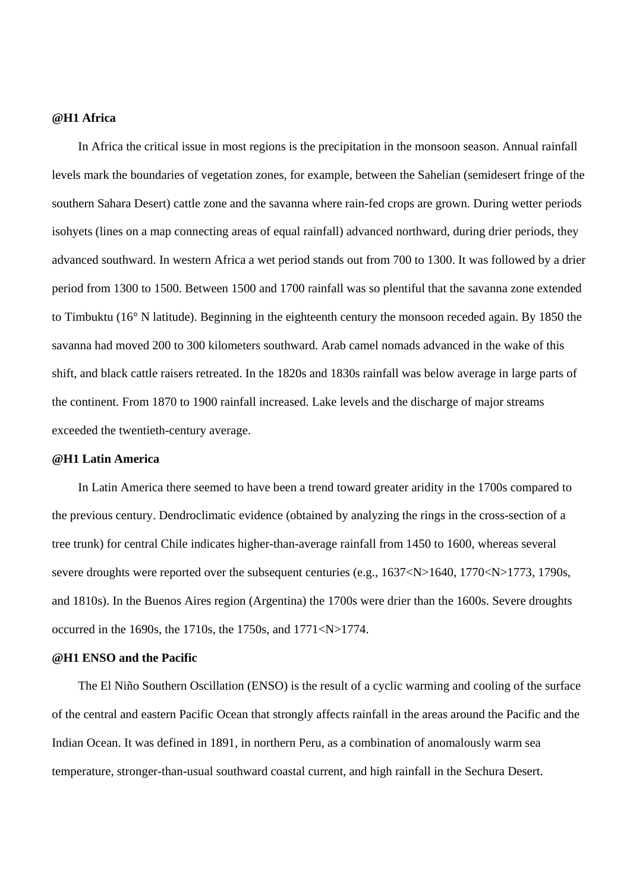#### **@H1 Africa**

In Africa the critical issue in most regions is the precipitation in the monsoon season. Annual rainfall levels mark the boundaries of vegetation zones, for example, between the Sahelian (semidesert fringe of the southern Sahara Desert) cattle zone and the savanna where rain-fed crops are grown. During wetter periods isohyets (lines on a map connecting areas of equal rainfall) advanced northward, during drier periods, they advanced southward. In western Africa a wet period stands out from 700 to 1300. It was followed by a drier period from 1300 to 1500. Between 1500 and 1700 rainfall was so plentiful that the savanna zone extended to Timbuktu (16° N latitude). Beginning in the eighteenth century the monsoon receded again. By 1850 the savanna had moved 200 to 300 kilometers southward. Arab camel nomads advanced in the wake of this shift, and black cattle raisers retreated. In the 1820s and 1830s rainfall was below average in large parts of the continent. From 1870 to 1900 rainfall increased. Lake levels and the discharge of major streams exceeded the twentieth-century average.

## **@H1 Latin America**

In Latin America there seemed to have been a trend toward greater aridity in the 1700s compared to the previous century. Dendroclimatic evidence (obtained by analyzing the rings in the cross-section of a tree trunk) for central Chile indicates higher-than-average rainfall from 1450 to 1600, whereas several severe droughts were reported over the subsequent centuries (e.g., 1637<N>1640, 1770<N>1773, 1790s, and 1810s). In the Buenos Aires region (Argentina) the 1700s were drier than the 1600s. Severe droughts occurred in the 1690s, the 1710s, the 1750s, and 1771<N>1774.

# **@H1 ENSO and the Pacific**

The El Niño Southern Oscillation (ENSO) is the result of a cyclic warming and cooling of the surface of the central and eastern Pacific Ocean that strongly affects rainfall in the areas around the Pacific and the Indian Ocean. It was defined in 1891, in northern Peru, as a combination of anomalously warm sea temperature, stronger-than-usual southward coastal current, and high rainfall in the Sechura Desert.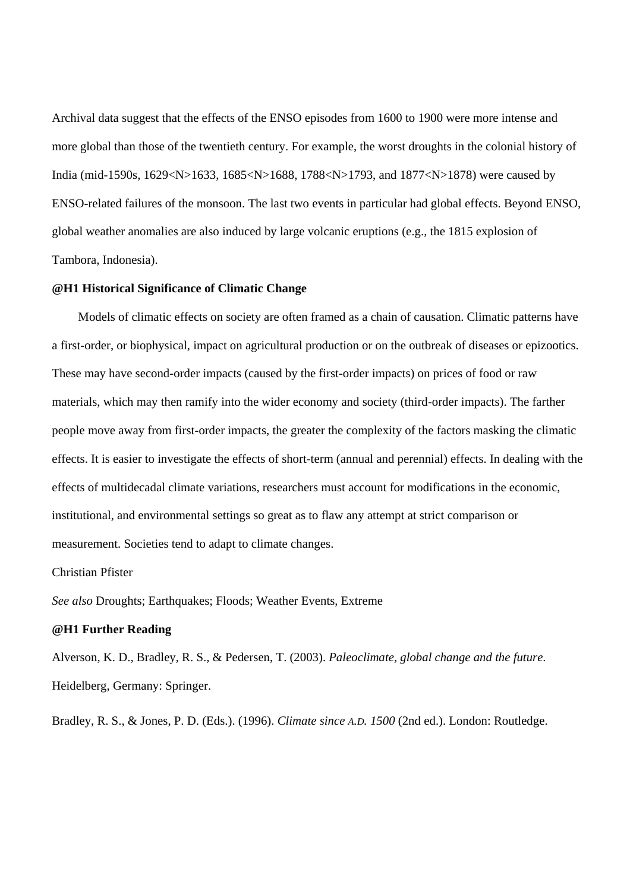Archival data suggest that the effects of the ENSO episodes from 1600 to 1900 were more intense and more global than those of the twentieth century. For example, the worst droughts in the colonial history of India (mid-1590s, 1629<N>1633, 1685<N>1688, 1788<N>1793, and 1877<N>1878) were caused by ENSO-related failures of the monsoon. The last two events in particular had global effects. Beyond ENSO, global weather anomalies are also induced by large volcanic eruptions (e.g., the 1815 explosion of Tambora, Indonesia).

## **@H1 Historical Significance of Climatic Change**

Models of climatic effects on society are often framed as a chain of causation. Climatic patterns have a first-order, or biophysical, impact on agricultural production or on the outbreak of diseases or epizootics. These may have second-order impacts (caused by the first-order impacts) on prices of food or raw materials, which may then ramify into the wider economy and society (third-order impacts). The farther people move away from first-order impacts, the greater the complexity of the factors masking the climatic effects. It is easier to investigate the effects of short-term (annual and perennial) effects. In dealing with the effects of multidecadal climate variations, researchers must account for modifications in the economic, institutional, and environmental settings so great as to flaw any attempt at strict comparison or measurement. Societies tend to adapt to climate changes.

# Christian Pfister

*See also* Droughts; Earthquakes; Floods; Weather Events, Extreme

## **@H1 Further Reading**

Alverson, K. D., Bradley, R. S., & Pedersen, T. (2003). *Paleoclimate, global change and the future*. Heidelberg, Germany: Springer.

Bradley, R. S., & Jones, P. D. (Eds.). (1996). *Climate since A.D. 1500* (2nd ed.). London: Routledge.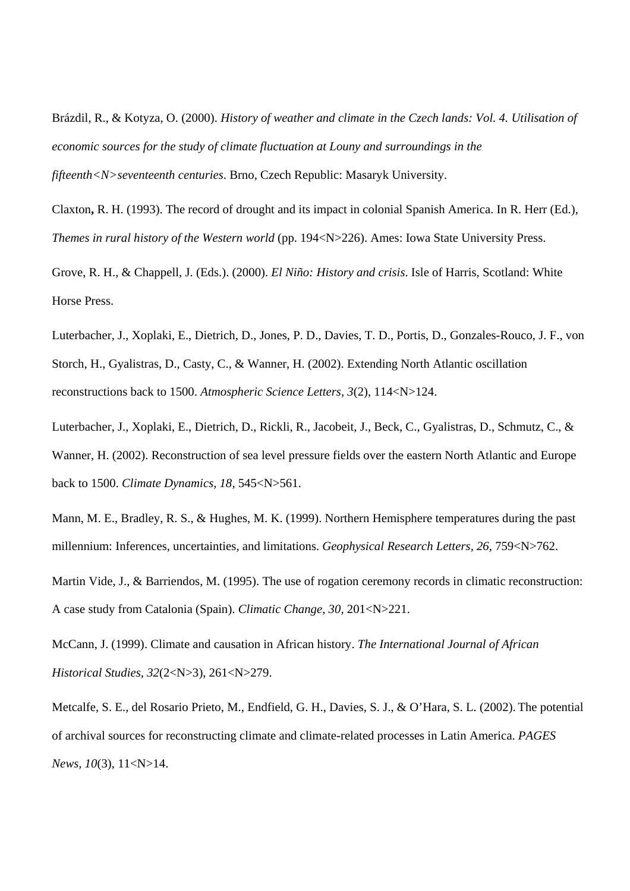Brázdil, R., & Kotyza, O. (2000). *History of weather and climate in the Czech lands: Vol. 4. Utilisation of economic sources for the study of climate fluctuation at Louny and surroundings in the fifteenth<N>seventeenth centuries*. Brno, Czech Republic: Masaryk University.

Claxton**,** R. H. (1993). The record of drought and its impact in colonial Spanish America. In R. Herr (Ed.), *Themes in rural history of the Western world* (pp. 194<N>226). Ames: Iowa State University Press.

Grove, R. H., & Chappell, J. (Eds.). (2000). *El Niño: History and crisis*. Isle of Harris, Scotland: White Horse Press.

Luterbacher, J., Xoplaki, E., Dietrich, D., Jones, P. D., Davies, T. D., Portis, D., Gonzales-Rouco, J. F., von Storch, H., Gyalistras, D., Casty, C., & Wanner, H. (2002). Extending North Atlantic oscillation reconstructions back to 1500. *Atmospheric Science Letters, 3*(2), 114<N>124.

Luterbacher, J., Xoplaki, E., Dietrich, D., Rickli, R., Jacobeit, J., Beck, C., Gyalistras, D., Schmutz, C., & Wanner, H. (2002). Reconstruction of sea level pressure fields over the eastern North Atlantic and Europe back to 1500. *Climate Dynamics, 18,* 545<N>561.

Mann, M. E., Bradley, R. S., & Hughes, M. K. (1999). Northern Hemisphere temperatures during the past millennium: Inferences, uncertainties, and limitations. *Geophysical Research Letters, 26,* 759<N>762.

Martin Vide, J., & Barriendos, M. (1995). The use of rogation ceremony records in climatic reconstruction: A case study from Catalonia (Spain). *Climatic Change, 30,* 201<N>221.

McCann, J. (1999). Climate and causation in African history. *The International Journal of African Historical Studies, 32*(2<N>3), 261<N>279.

Metcalfe, S. E., del Rosario Prieto, M., Endfield, G. H., Davies, S. J., & O'Hara, S. L. (2002). The potential of archival sources for reconstructing climate and climate-related processes in Latin America. *PAGES News, 10*(3), 11<N>14.